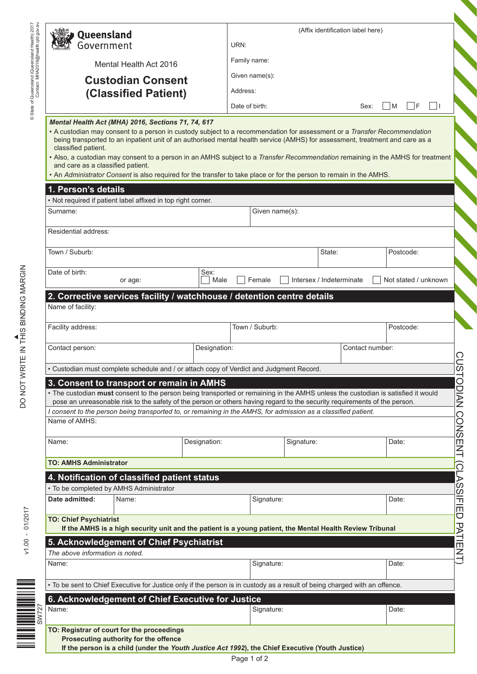| Queensland                                                                                                                                                                         |                                                                                                                                                                                                                                                                                                                                                                                                                                                                                                                                                                          |              | (Affix identification label here) |                          |                 |                          |  |
|------------------------------------------------------------------------------------------------------------------------------------------------------------------------------------|--------------------------------------------------------------------------------------------------------------------------------------------------------------------------------------------------------------------------------------------------------------------------------------------------------------------------------------------------------------------------------------------------------------------------------------------------------------------------------------------------------------------------------------------------------------------------|--------------|-----------------------------------|--------------------------|-----------------|--------------------------|--|
| Government                                                                                                                                                                         |                                                                                                                                                                                                                                                                                                                                                                                                                                                                                                                                                                          |              | URN:                              |                          |                 |                          |  |
|                                                                                                                                                                                    | Mental Health Act 2016                                                                                                                                                                                                                                                                                                                                                                                                                                                                                                                                                   |              | Family name:                      |                          |                 |                          |  |
| <b>Custodian Consent</b><br>(Classified Patient)                                                                                                                                   |                                                                                                                                                                                                                                                                                                                                                                                                                                                                                                                                                                          |              | Given name(s):                    |                          |                 |                          |  |
|                                                                                                                                                                                    |                                                                                                                                                                                                                                                                                                                                                                                                                                                                                                                                                                          |              | Address:                          |                          |                 |                          |  |
|                                                                                                                                                                                    |                                                                                                                                                                                                                                                                                                                                                                                                                                                                                                                                                                          |              | Date of birth:                    |                          | Sex:            | $\Box$ F<br>$\mathsf{M}$ |  |
| classified patient.<br>and care as a classified patient.                                                                                                                           | Mental Health Act (MHA) 2016, Sections 71, 74, 617<br>• A custodian may consent to a person in custody subject to a recommendation for assessment or a Transfer Recommendation<br>being transported to an inpatient unit of an authorised mental health service (AMHS) for assessment, treatment and care as a<br>• Also, a custodian may consent to a person in an AMHS subject to a Transfer Recommendation remaining in the AMHS for treatment<br>. An Administrator Consent is also required for the transfer to take place or for the person to remain in the AMHS. |              |                                   |                          |                 |                          |  |
| 1. Person's details                                                                                                                                                                |                                                                                                                                                                                                                                                                                                                                                                                                                                                                                                                                                                          |              |                                   |                          |                 |                          |  |
| Surname:                                                                                                                                                                           | . Not required if patient label affixed in top right corner.                                                                                                                                                                                                                                                                                                                                                                                                                                                                                                             |              |                                   |                          |                 |                          |  |
|                                                                                                                                                                                    |                                                                                                                                                                                                                                                                                                                                                                                                                                                                                                                                                                          |              | Given name(s):                    |                          |                 |                          |  |
| Residential address:                                                                                                                                                               |                                                                                                                                                                                                                                                                                                                                                                                                                                                                                                                                                                          |              |                                   |                          |                 |                          |  |
| Town / Suburb:                                                                                                                                                                     |                                                                                                                                                                                                                                                                                                                                                                                                                                                                                                                                                                          |              |                                   | State:                   |                 | Postcode:                |  |
| Date of birth:                                                                                                                                                                     | or age:                                                                                                                                                                                                                                                                                                                                                                                                                                                                                                                                                                  | Sex:<br>Male | Female                            | Intersex / Indeterminate |                 | Not stated / unknown     |  |
| Name of facility:                                                                                                                                                                  | 2. Corrective services facility / watchhouse / detention centre details                                                                                                                                                                                                                                                                                                                                                                                                                                                                                                  |              |                                   |                          |                 |                          |  |
| Facility address:                                                                                                                                                                  |                                                                                                                                                                                                                                                                                                                                                                                                                                                                                                                                                                          |              | Town / Suburb:                    |                          |                 | Postcode:                |  |
|                                                                                                                                                                                    |                                                                                                                                                                                                                                                                                                                                                                                                                                                                                                                                                                          |              |                                   |                          |                 |                          |  |
|                                                                                                                                                                                    |                                                                                                                                                                                                                                                                                                                                                                                                                                                                                                                                                                          | Designation: |                                   |                          | Contact number: |                          |  |
|                                                                                                                                                                                    |                                                                                                                                                                                                                                                                                                                                                                                                                                                                                                                                                                          |              |                                   |                          |                 |                          |  |
|                                                                                                                                                                                    | • Custodian must complete schedule and / or attach copy of Verdict and Judgment Record                                                                                                                                                                                                                                                                                                                                                                                                                                                                                   |              |                                   |                          |                 |                          |  |
|                                                                                                                                                                                    | 3. Consent to transport or remain in AMHS<br>• The custodian must consent to the person being transported or remaining in the AMHS unless the custodian is satisfied it would                                                                                                                                                                                                                                                                                                                                                                                            |              |                                   |                          |                 |                          |  |
|                                                                                                                                                                                    | pose an unreasonable risk to the safety of the person or others having regard to the security requirements of the person.                                                                                                                                                                                                                                                                                                                                                                                                                                                |              |                                   |                          |                 |                          |  |
|                                                                                                                                                                                    | I consent to the person being transported to, or remaining in the AMHS, for admission as a classified patient.                                                                                                                                                                                                                                                                                                                                                                                                                                                           |              |                                   |                          |                 |                          |  |
|                                                                                                                                                                                    |                                                                                                                                                                                                                                                                                                                                                                                                                                                                                                                                                                          |              |                                   |                          |                 |                          |  |
|                                                                                                                                                                                    |                                                                                                                                                                                                                                                                                                                                                                                                                                                                                                                                                                          | Designation: |                                   | Signature:               |                 | Date:                    |  |
|                                                                                                                                                                                    |                                                                                                                                                                                                                                                                                                                                                                                                                                                                                                                                                                          |              |                                   |                          |                 |                          |  |
|                                                                                                                                                                                    | 4. Notification of classified patient status                                                                                                                                                                                                                                                                                                                                                                                                                                                                                                                             |              |                                   |                          |                 |                          |  |
|                                                                                                                                                                                    | • To be completed by AMHS Administrator                                                                                                                                                                                                                                                                                                                                                                                                                                                                                                                                  |              |                                   |                          |                 |                          |  |
|                                                                                                                                                                                    | Name:                                                                                                                                                                                                                                                                                                                                                                                                                                                                                                                                                                    |              | Signature:                        |                          |                 | Date:                    |  |
|                                                                                                                                                                                    |                                                                                                                                                                                                                                                                                                                                                                                                                                                                                                                                                                          |              |                                   |                          |                 |                          |  |
|                                                                                                                                                                                    | If the AMHS is a high security unit and the patient is a young patient, the Mental Health Review Tribunal                                                                                                                                                                                                                                                                                                                                                                                                                                                                |              |                                   |                          |                 |                          |  |
|                                                                                                                                                                                    | 5. Acknowledgement of Chief Psychiatrist                                                                                                                                                                                                                                                                                                                                                                                                                                                                                                                                 |              |                                   |                          |                 |                          |  |
|                                                                                                                                                                                    |                                                                                                                                                                                                                                                                                                                                                                                                                                                                                                                                                                          |              | Signature:                        |                          |                 | Date:                    |  |
|                                                                                                                                                                                    |                                                                                                                                                                                                                                                                                                                                                                                                                                                                                                                                                                          |              |                                   |                          |                 |                          |  |
|                                                                                                                                                                                    | . To be sent to Chief Executive for Justice only if the person is in custody as a result of being charged with an offence.                                                                                                                                                                                                                                                                                                                                                                                                                                               |              |                                   |                          |                 |                          |  |
| Contact person:<br>Name of AMHS:<br>Name:<br><b>TO: AMHS Administrator</b><br>Date admitted:<br><b>TO: Chief Psychiatrist</b><br>The above information is noted.<br>Name:<br>Name: | 6. Acknowledgement of Chief Executive for Justice                                                                                                                                                                                                                                                                                                                                                                                                                                                                                                                        |              | Signature:                        |                          |                 | Date:                    |  |

DO NOT WRITE IN THIS BINDING MARGIN DO NOT WRITE IN THIS BINDING MARGIN

V1.00 - 01/2017